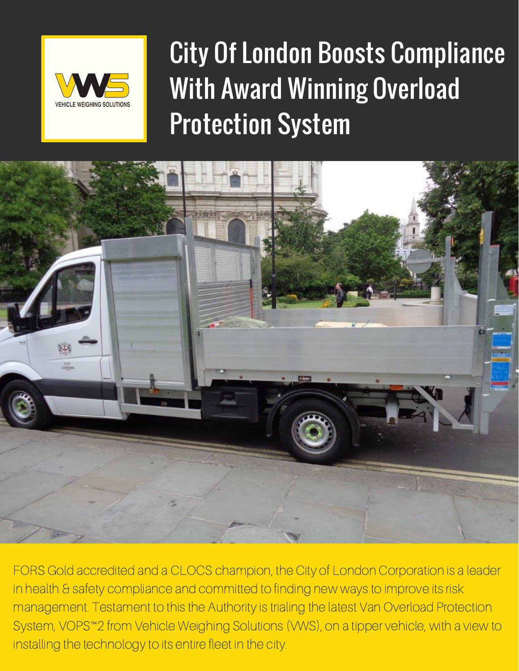

City Of London Boosts Compliance With Award Winning Overload Protection System



FORS Gold accredited and a CLOCS champion, the City of London Corporation is a leader in health & safety compliance and committed to finding new ways to improve its risk management. Testament to this the Authority is trialing the latest Van Overload Protection System, VOPS™2 from Vehicle Weighing Solutions (VWS), on a tipper vehicle, with a view to installing the technology to its entire fleet in the city.